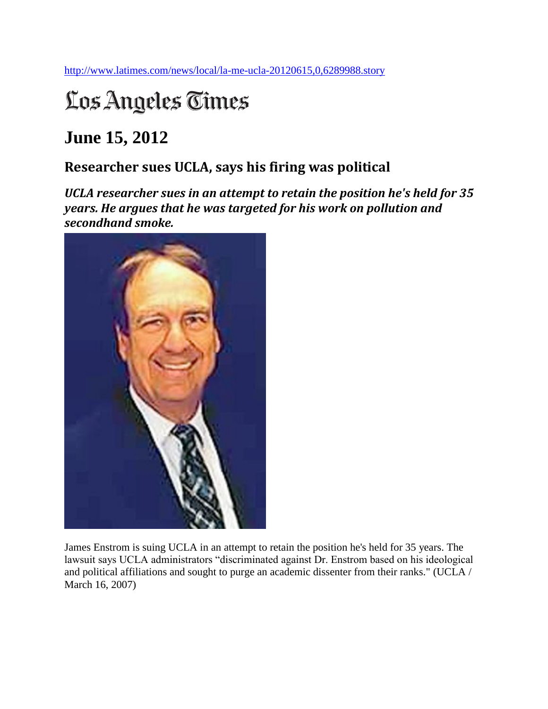<http://www.latimes.com/news/local/la-me-ucla-20120615,0,6289988.story>

## Los Angeles Times

## **June 15, 2012**

## **Researcher sues UCLA, says his firing was political**

*UCLA researcher sues in an attempt to retain the position he's held for 35 years. He argues that he was targeted for his work on pollution and secondhand smoke.*



James Enstrom is suing UCLA in an attempt to retain the position he's held for 35 years. The lawsuit says UCLA administrators "discriminated against Dr. Enstrom based on his ideological and political affiliations and sought to purge an academic dissenter from their ranks." (UCLA / March 16, 2007)